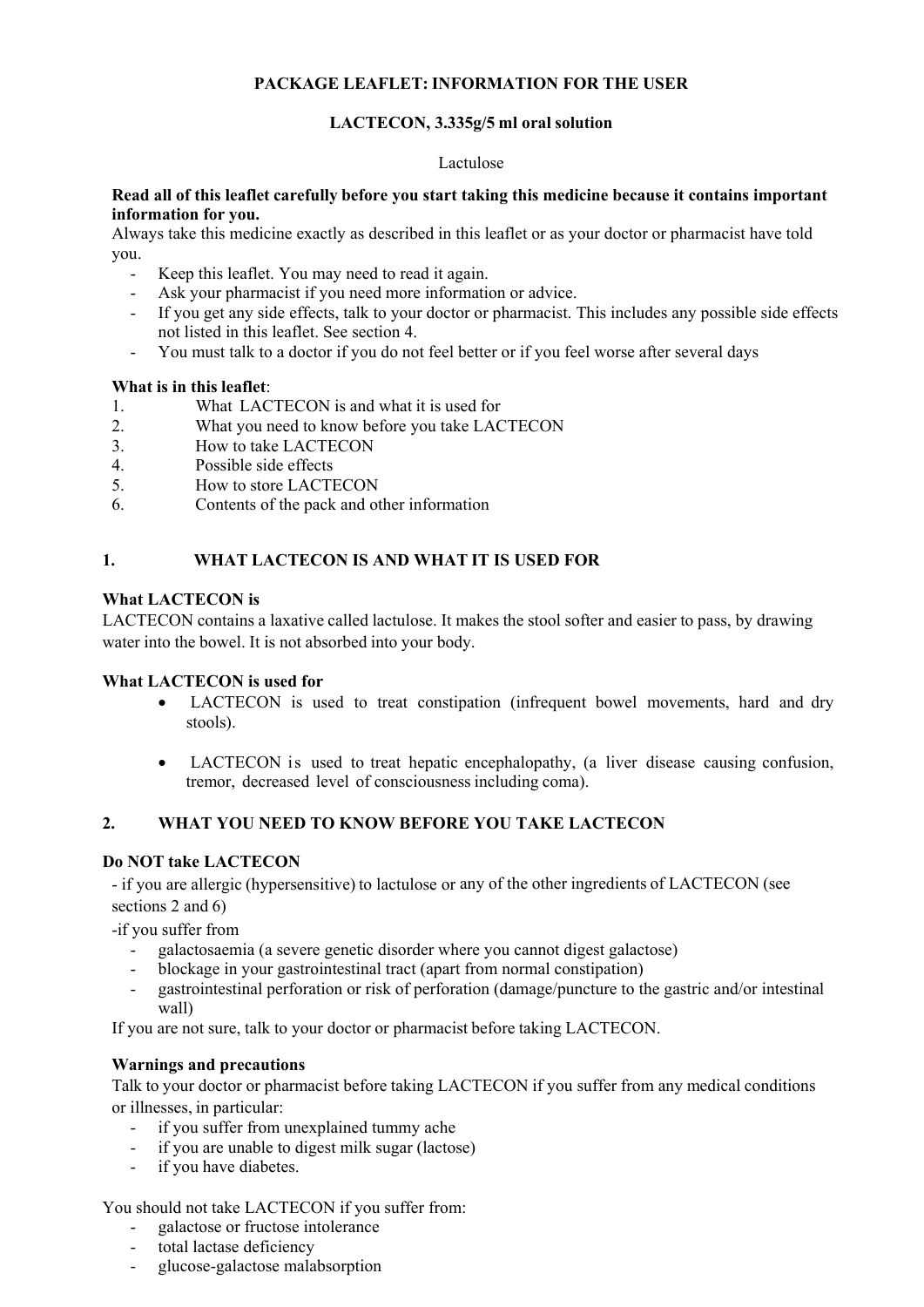## **PACKAGE LEAFLET: INFORMATION FOR THE USER**

## **LACTECON, 3.335g/5 ml oral solution**

#### Lactulose

### **Read all of this leaflet carefully before you start taking this medicine because it contains important information for you.**

Always take this medicine exactly as described in this leaflet or as your doctor or pharmacist have told you.

- Keep this leaflet. You may need to read it again.
- Ask your pharmacist if you need more information or advice.
- If you get any side effects, talk to your doctor or pharmacist. This includes any possible side effects not listed in this leaflet. See section 4.
- You must talk to a doctor if you do not feel better or if you feel worse after several days

### **What is in this leaflet**:

- 1. What LACTECON is and what it is used for
- 2. What you need to know before you take LACTECON
- 3. How to take LACTECON
- 4. Possible side effects
- 5. How to store LACTECON
- 6. Contents of the pack and other information

### **1. WHAT LACTECON IS AND WHAT IT IS USED FOR**

### **What LACTECON is**

LACTECON contains a laxative called lactulose. It makes the stool softer and easier to pass, by drawing water into the bowel. It is not absorbed into your body.

### **What LACTECON is used for**

- LACTECON is used to treat constipation (infrequent bowel movements, hard and dry stools).
- LACTECON is used to treat hepatic encephalopathy, (a liver disease causing confusion, tremor, decreased level of consciousness including coma).

### **2. WHAT YOU NEED TO KNOW BEFORE YOU TAKE LACTECON**

### **Do NOT take LACTECON**

- if you are allergic (hypersensitive) to lactulose or any of the other ingredients of LACTECON (see sections 2 and 6)

-if you suffer from

- galactosaemia (a severe genetic disorder where you cannot digest galactose)
- blockage in your gastrointestinal tract (apart from normal constipation)
- gastrointestinal perforation or risk of perforation (damage/puncture to the gastric and/or intestinal wall)

If you are not sure, talk to your doctor or pharmacist before taking LACTECON.

### **Warnings and precautions**

Talk to your doctor or pharmacist before taking LACTECON if you suffer from any medical conditions or illnesses, in particular:

- if you suffer from unexplained tummy ache
- if you are unable to digest milk sugar (lactose)
- if you have diabetes.

You should not take LACTECON if you suffer from:

- galactose or fructose intolerance
- total lactase deficiency
- glucose-galactose malabsorption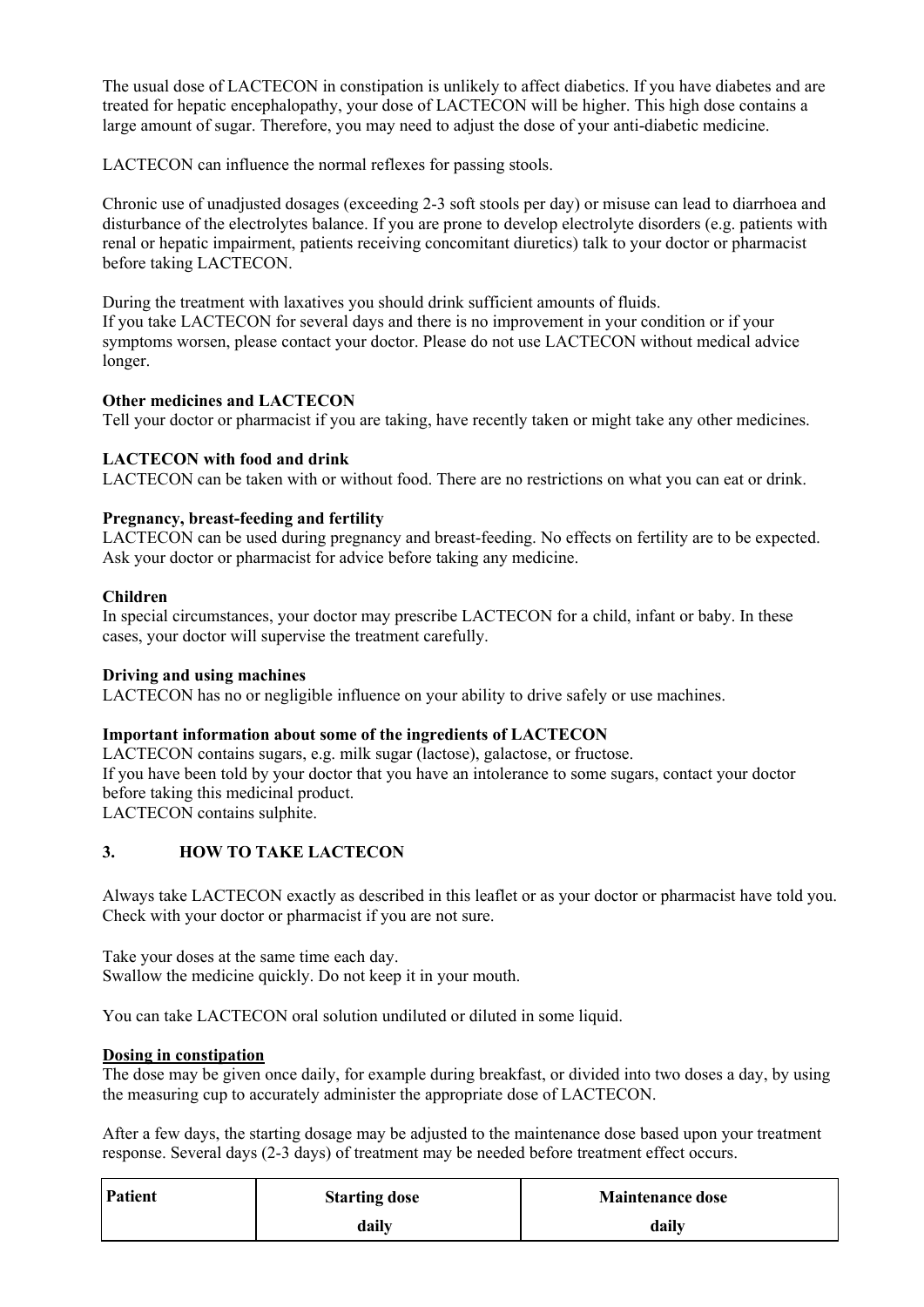The usual dose of LACTECON in constipation is unlikely to affect diabetics. If you have diabetes and are treated for hepatic encephalopathy, your dose of LACTECON will be higher. This high dose contains a large amount of sugar. Therefore, you may need to adjust the dose of your anti-diabetic medicine.

LACTECON can influence the normal reflexes for passing stools.

Chronic use of unadjusted dosages (exceeding 2-3 soft stools per day) or misuse can lead to diarrhoea and disturbance of the electrolytes balance. If you are prone to develop electrolyte disorders (e.g. patients with renal or hepatic impairment, patients receiving concomitant diuretics) talk to your doctor or pharmacist before taking LACTECON.

During the treatment with laxatives you should drink sufficient amounts of fluids. If you take LACTECON for several days and there is no improvement in your condition or if your symptoms worsen, please contact your doctor. Please do not use LACTECON without medical advice longer.

## **Other medicines and LACTECON**

Tell your doctor or pharmacist if you are taking, have recently taken or might take any other medicines.

## **LACTECON with food and drink**

LACTECON can be taken with or without food. There are no restrictions on what you can eat or drink.

## **Pregnancy, breast-feeding and fertility**

LACTECON can be used during pregnancy and breast-feeding. No effects on fertility are to be expected. Ask your doctor or pharmacist for advice before taking any medicine.

## **Children**

In special circumstances, your doctor may prescribe LACTECON for a child, infant or baby. In these cases, your doctor will supervise the treatment carefully.

## **Driving and using machines**

LACTECON has no or negligible influence on your ability to drive safely or use machines.

## **Important information about some of the ingredients of LACTECON**

LACTECON contains sugars, e.g. milk sugar (lactose), galactose, or fructose. If you have been told by your doctor that you have an intolerance to some sugars, contact your doctor before taking this medicinal product. LACTECON contains sulphite.

## **3. HOW TO TAKE LACTECON**

Always take LACTECON exactly as described in this leaflet or as your doctor or pharmacist have told you. Check with your doctor or pharmacist if you are not sure.

Take your doses at the same time each day. Swallow the medicine quickly. Do not keep it in your mouth.

You can take LACTECON oral solution undiluted or diluted in some liquid.

## **Dosing in constipation**

The dose may be given once daily, for example during breakfast, or divided into two doses a day, by using the measuring cup to accurately administer the appropriate dose of LACTECON.

After a few days, the starting dosage may be adjusted to the maintenance dose based upon your treatment response. Several days (2-3 days) of treatment may be needed before treatment effect occurs.

| Patient | <b>Starting dose</b> | <b>Maintenance dose</b> |
|---------|----------------------|-------------------------|
|         | daily                | daily                   |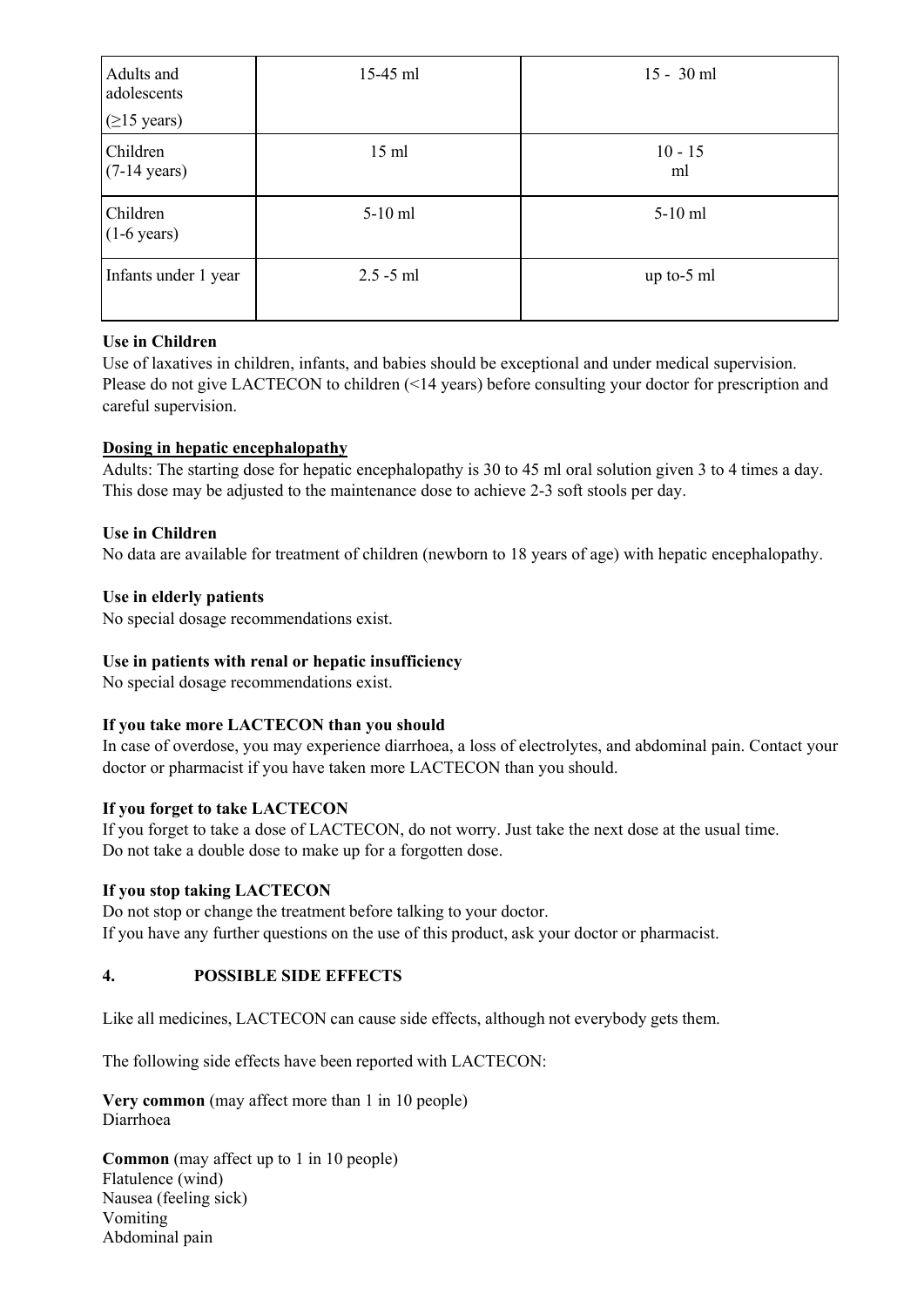| Adults and<br>adolescents<br>$(≥15 \text{ years})$ | $15-45$ ml      | $15 - 30$ ml    |
|----------------------------------------------------|-----------------|-----------------|
| Children<br>$(7-14 \text{ years})$                 | $15 \text{ ml}$ | $10 - 15$<br>ml |
| Children<br>$(1-6 \text{ years})$                  | $5-10$ ml       | $5-10$ ml       |
| Infants under 1 year                               | $2.5 - 5$ ml    | up to-5 $ml$    |

## **Use in Children**

Use of laxatives in children, infants, and babies should be exceptional and under medical supervision. Please do not give LACTECON to children (<14 years) before consulting your doctor for prescription and careful supervision.

## **Dosing in hepatic encephalopathy**

Adults: The starting dose for hepatic encephalopathy is 30 to 45 ml oral solution given 3 to 4 times a day. This dose may be adjusted to the maintenance dose to achieve 2-3 soft stools per day.

## **Use in Children**

No data are available for treatment of children (newborn to 18 years of age) with hepatic encephalopathy.

## **Use in elderly patients**

No special dosage recommendations exist.

## **Use in patients with renal or hepatic insufficiency**

No special dosage recommendations exist.

## **If you take more LACTECON than you should**

In case of overdose, you may experience diarrhoea, a loss of electrolytes, and abdominal pain. Contact your doctor or pharmacist if you have taken more LACTECON than you should.

## **If you forget to take LACTECON**

If you forget to take a dose of LACTECON, do not worry. Just take the next dose at the usual time. Do not take a double dose to make up for a forgotten dose.

## **If you stop taking LACTECON**

Do not stop or change the treatment before talking to your doctor. If you have any further questions on the use of this product, ask your doctor or pharmacist.

## **4. POSSIBLE SIDE EFFECTS**

Like all medicines, LACTECON can cause side effects, although not everybody gets them.

The following side effects have been reported with LACTECON:

**Very common** (may affect more than 1 in 10 people) Diarrhoea

**Common** (may affect up to 1 in 10 people) Flatulence (wind) Nausea (feeling sick) Vomiting Abdominal pain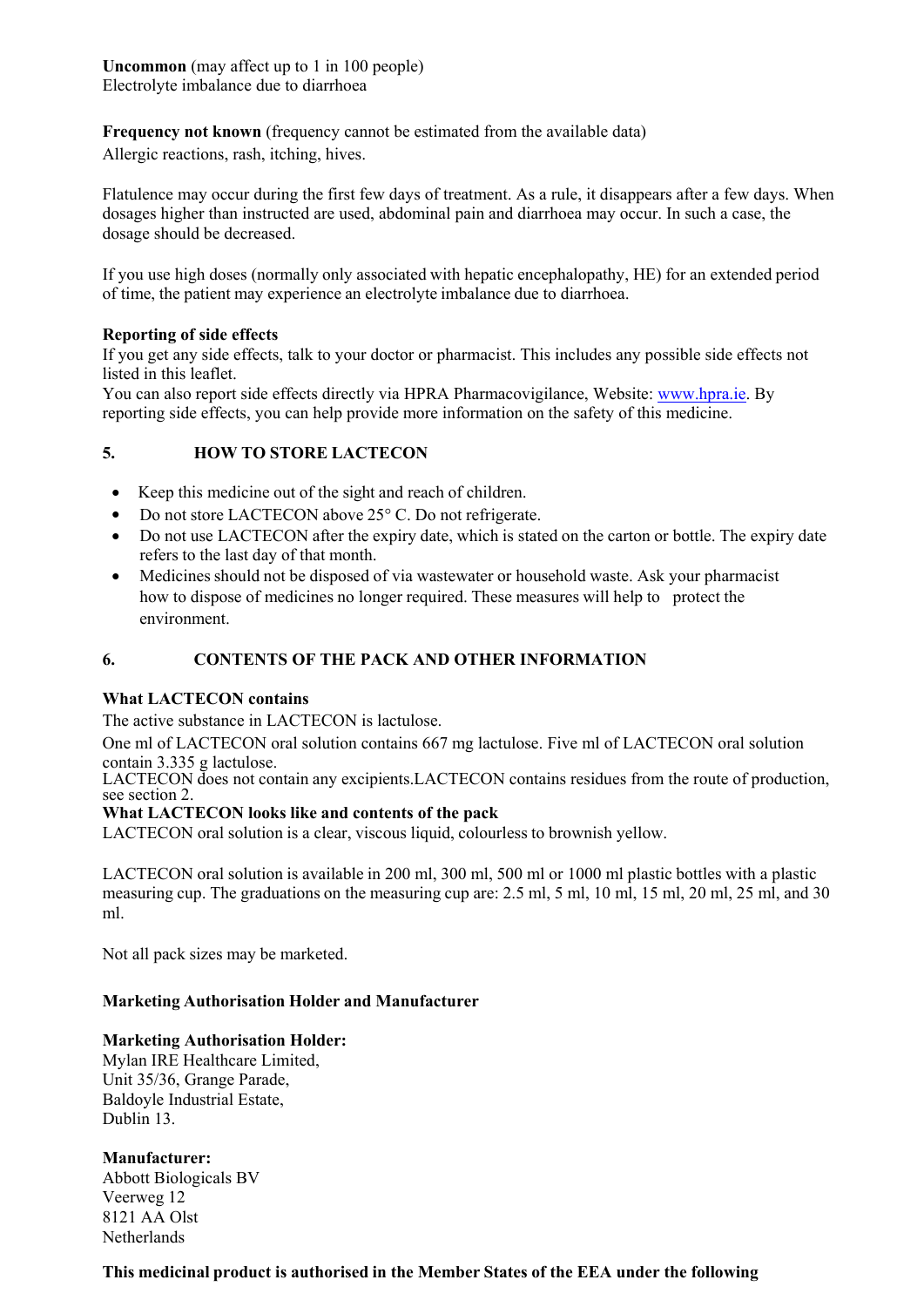**Uncommon** (may affect up to 1 in 100 people) Electrolyte imbalance due to diarrhoea

**Frequency not known** (frequency cannot be estimated from the available data)

Allergic reactions, rash, itching, hives.

Flatulence may occur during the first few days of treatment. As a rule, it disappears after a few days. When dosages higher than instructed are used, abdominal pain and diarrhoea may occur. In such a case, the dosage should be decreased.

If you use high doses (normally only associated with hepatic encephalopathy, HE) for an extended period of time, the patient may experience an electrolyte imbalance due to diarrhoea.

### **Reporting of side effects**

If you get any side effects, talk to your doctor or pharmacist. This includes any possible side effects not listed in this leaflet.

You can also report side effects directly via HPRA Pharmacovigilance, Website: www.hpra.ie. By reporting side effects, you can help provide more information on the safety of this medicine.

## **5. HOW TO STORE LACTECON**

- Keep this medicine out of the sight and reach of children.
- Do not store LACTECON above 25° C. Do not refrigerate.
- Do not use LACTECON after the expiry date, which is stated on the carton or bottle. The expiry date refers to the last day of that month.
- Medicines should not be disposed of via wastewater or household waste. Ask your pharmacist how to dispose of medicines no longer required. These measures will help to protect the environment.

## **6. CONTENTS OF THE PACK AND OTHER INFORMATION**

## **What LACTECON contains**

The active substance in LACTECON is lactulose.

One ml of LACTECON oral solution contains 667 mg lactulose. Five ml of LACTECON oral solution contain 3.335 g lactulose.

LACTECON does not contain any excipients.LACTECON contains residues from the route of production, see section 2.

### **What LACTECON looks like and contents of the pack**

LACTECON oral solution is a clear, viscous liquid, colourless to brownish yellow.

LACTECON oral solution is available in 200 ml, 300 ml, 500 ml or 1000 ml plastic bottles with a plastic measuring cup. The graduations on the measuring cup are: 2.5 ml, 5 ml, 10 ml, 15 ml, 20 ml, 25 ml, and 30 ml.

Not all pack sizes may be marketed.

## **Marketing Authorisation Holder and Manufacturer**

### **Marketing Authorisation Holder:**

Mylan IRE Healthcare Limited, Unit 35/36, Grange Parade, Baldoyle Industrial Estate, Dublin 13.

## **Manufacturer:**

Abbott Biologicals BV Veerweg 12 8121 AA Olst **Netherlands** 

### **This medicinal product is authorised in the Member States of the EEA under the following**